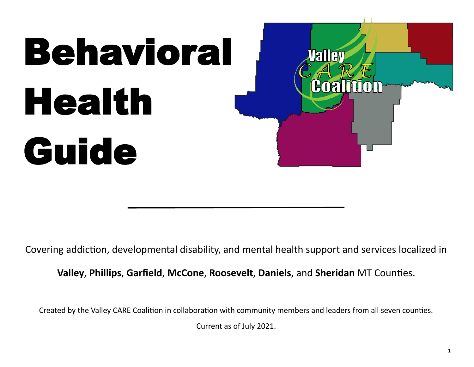

Covering addiction, developmental disability, and mental health support and services localized in

**Valley**, **Phillips**, **Garfield**, **McCone**, **Roosevelt**, **Daniels**, and **Sheridan** MT Counties.

Created by the Valley CARE Coalition in collaboration with community members and leaders from all seven counties.

Current as of July 2021.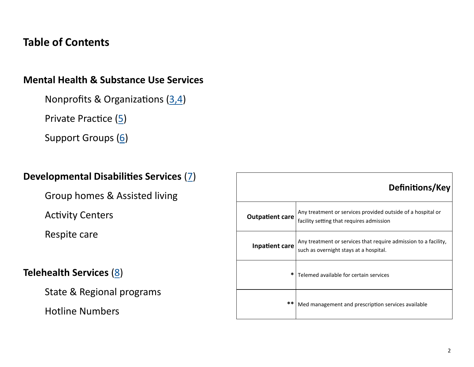# **Table of Contents**

## **Mental Health & Substance Use Services**

Nonprofits & Organizations [\(3,4\)](#page-2-0)

Private Practice [\(5\)](#page-4-0)

Support Groups ([6\)](#page-5-0)

## **Developmental Disabilities Services** [\(7\)](#page-6-0)

Group homes & Assisted living

Activity Centers

Respite care

# **Telehealth Services** [\(8\)](#page-6-0)

State & Regional programs

Hotline Numbers

|                        | Definitions/Key                                                                                           |
|------------------------|-----------------------------------------------------------------------------------------------------------|
| <b>Outpatient care</b> | Any treatment or services provided outside of a hospital or<br>facility setting that requires admission   |
| Inpatient care         | Any treatment or services that require admission to a facility,<br>such as overnight stays at a hospital. |
| *                      | Telemed available for certain services                                                                    |
| $**$                   | Med management and prescription services available                                                        |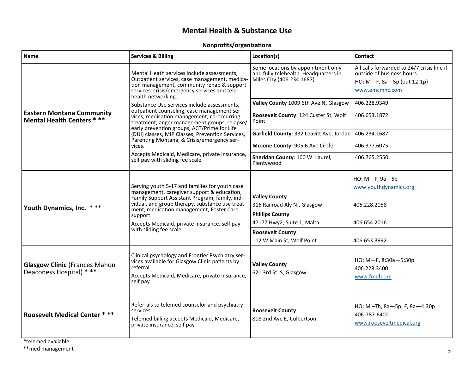### **Mental Health & Substance Use**

#### **Nonprofits/organizations**

<span id="page-2-0"></span>

| <b>Name</b>                                                          | <b>Services &amp; Billing</b>                                                                                                                                                                                                                                                                                                                                                                                                                                                                                                                                 | Location(s)                                                                                               | <b>Contact</b>                                                                                                           |
|----------------------------------------------------------------------|---------------------------------------------------------------------------------------------------------------------------------------------------------------------------------------------------------------------------------------------------------------------------------------------------------------------------------------------------------------------------------------------------------------------------------------------------------------------------------------------------------------------------------------------------------------|-----------------------------------------------------------------------------------------------------------|--------------------------------------------------------------------------------------------------------------------------|
| <b>Eastern Montana Community</b><br><b>Mental Health Centers ***</b> | Mental Heath services include assessments,<br>Outpatient services, case management, medica-<br>tion management, community rehab & support<br>services, crisis/emergency services and tele-<br>health networking.<br>Substance Use services include assessments.<br>outpatient counseling, case management ser-<br>vices, medication management, co-occurring<br>treatment, anger management groups, relapse/<br>early prevention groups, ACT/Prime for Life<br>(DUI) classes, MIP Classes, Prevention Services,<br>Parenting Montana, & Crisis/emergency ser- | Some locations by appointment only<br>and fully telehealth. Headquarters in<br>Miles City (406.234.1687). | All calls forwarded to 24/7 crisis line if<br>outside of business hours.<br>HO: M-F, 8a-5p (out 12-1p)<br>www.emcmhc.com |
|                                                                      |                                                                                                                                                                                                                                                                                                                                                                                                                                                                                                                                                               | Valley County 1009 6th Ave N, Glasgow<br>Roosevelt County: 124 Custer St, Wolf                            | 406.228.9349<br>406.653.1872                                                                                             |
|                                                                      |                                                                                                                                                                                                                                                                                                                                                                                                                                                                                                                                                               | Point<br>Garfield County: 332 Leavitt Ave, Jordan                                                         | 406.234.1687                                                                                                             |
|                                                                      | vices.                                                                                                                                                                                                                                                                                                                                                                                                                                                                                                                                                        | Mccone County: 905 B Ave Circle                                                                           | 406.377.6075                                                                                                             |
|                                                                      | Accepts Medicaid, Medicare, private insurance,<br>self pay with sliding fee scale                                                                                                                                                                                                                                                                                                                                                                                                                                                                             | Sheridan County: 100 W. Laurel,<br>Plentywood                                                             | 406.765.2550                                                                                                             |
| Youth Dynamics, Inc. ***                                             | Serving youth 5-17 and families for youth case<br>management, caregiver support & education,<br>Family Support Assistant Program, family, indi-<br>vidual, and group therapy, substance use treat-<br>ment, medication management, Foster Care<br>support.<br>Accepts Medicaid, private insurance, self pay<br>with sliding fee scale                                                                                                                                                                                                                         | <b>Valley County</b><br>316 Railroad Aly N., Glasgow                                                      | НО: М-Е, 9а-5р<br>www.youthdynamics.org<br>406.228.2058                                                                  |
|                                                                      |                                                                                                                                                                                                                                                                                                                                                                                                                                                                                                                                                               | <b>Phillips County</b><br>47177 Hwy2, Suite 1, Malta                                                      | 406.654.2016                                                                                                             |
|                                                                      |                                                                                                                                                                                                                                                                                                                                                                                                                                                                                                                                                               | <b>Roosevelt County</b><br>112 W Main St, Wolf Point                                                      | 406.653.3992                                                                                                             |
| <b>Glasgow Clinic (Frances Mahon</b><br>Deaconess Hospital) * **     | Clinical psychology and Frontier Psychiatry ser-<br>vices available for Glasgow Clinic patients by<br>referral.<br>Accepts Medicaid, Medicare, private insurance,<br>self pay                                                                                                                                                                                                                                                                                                                                                                                 | <b>Valley County</b><br>621 3rd St. S, Glasgow                                                            | HO: M-F, 8:30a-5:30p<br>406.228.3400<br>www.fmdh.org                                                                     |
| <b>Roosevelt Medical Center ***</b>                                  | Referrals to telemed counselor and psychiatry<br>services.<br>Telemed billing accepts Medicaid, Medicare,<br>private insurance, self pay                                                                                                                                                                                                                                                                                                                                                                                                                      | <b>Roosevelt County</b><br>818 2nd Ave E, Culbertson                                                      | HO: M-Th, 8a-5p; F, 8a-4:30p<br>406-787-6400<br>www.rooseveltmedical.org                                                 |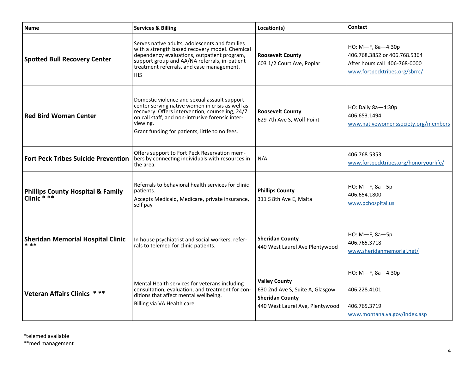| <b>Name</b>                                                 | <b>Services &amp; Billing</b>                                                                                                                                                                                                                                         | Location(s)                                                                                                          | <b>Contact</b>                                                                                                      |
|-------------------------------------------------------------|-----------------------------------------------------------------------------------------------------------------------------------------------------------------------------------------------------------------------------------------------------------------------|----------------------------------------------------------------------------------------------------------------------|---------------------------------------------------------------------------------------------------------------------|
| <b>Spotted Bull Recovery Center</b>                         | Serves native adults, adolescents and families<br>with a strength based recovery model. Chemical<br>dependency evaluations, outpatient program,<br>support group and AA/NA referrals, in-patient<br>treatment referrals, and case management.<br><b>IHS</b>           | <b>Roosevelt County</b><br>603 1/2 Court Ave, Poplar                                                                 | HO: M-F, 8a-4:30p<br>406.768.3852 or 406.768.5364<br>After hours call 406-768-0000<br>www.fortpecktribes.org/sbrrc/ |
| <b>Red Bird Woman Center</b>                                | Domestic violence and sexual assault support<br>center serving native women in crisis as well as<br>recovery. Offers intervention, counseling, 24/7<br>on call staff, and non-intrusive forensic inter-<br>viewing.<br>Grant funding for patients, little to no fees. | <b>Roosevelt County</b><br>629 7th Ave S, Wolf Point                                                                 | HO: Daily 8a-4:30p<br>406.653.1494<br>www.nativewomenssociety.org/members                                           |
| <b>Fort Peck Tribes Suicide Prevention</b>                  | Offers support to Fort Peck Reservation mem-<br>bers by connecting individuals with resources in<br>the area.                                                                                                                                                         | N/A                                                                                                                  | 406.768.5353<br>www.fortpecktribes.org/honoryourlife/                                                               |
| <b>Phillips County Hospital &amp; Family</b><br>Clinic * ** | Referrals to behavioral health services for clinic<br>patients.<br>Accepts Medicaid, Medicare, private insurance,<br>self pay                                                                                                                                         | <b>Phillips County</b><br>311 S 8th Ave E, Malta                                                                     | НО: М-Е, 8а-5р<br>406.654.1800<br>www.pchospital.us                                                                 |
| <b>Sheridan Memorial Hospital Clinic</b><br>* **            | In house psychiatrist and social workers, refer-<br>rals to telemed for clinic patients.                                                                                                                                                                              | <b>Sheridan County</b><br>440 West Laurel Ave Plentywood                                                             | НО: М-Е, 8а-5р<br>406.765.3718<br>www.sheridanmemorial.net/                                                         |
| <b>Veteran Affairs Clinics</b>                              | Mental Health services for veterans including<br>consultation, evaluation, and treatment for con-<br>ditions that affect mental wellbeing.<br>Billing via VA Health care                                                                                              | <b>Valley County</b><br>630 2nd Ave S, Suite A, Glasgow<br><b>Sheridan County</b><br>440 West Laurel Ave, Plentywood | НО: М-F, 8а-4:30р<br>406.228.4101<br>406.765.3719<br>www.montana.va.gov/index.asp                                   |

\*\*med management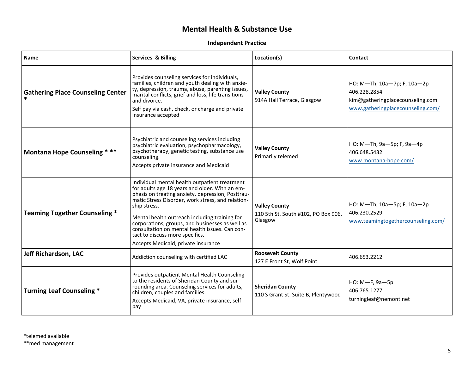### **Mental Health & Substance Use**

#### **Independent Practice**

<span id="page-4-0"></span>

| <b>Name</b>                              | <b>Services &amp; Billing</b>                                                                                                                                                                                                                                                                                                                                                                                                                             | Location(s)                                                            | Contact                                                                                                              |
|------------------------------------------|-----------------------------------------------------------------------------------------------------------------------------------------------------------------------------------------------------------------------------------------------------------------------------------------------------------------------------------------------------------------------------------------------------------------------------------------------------------|------------------------------------------------------------------------|----------------------------------------------------------------------------------------------------------------------|
| <b>Gathering Place Counseling Center</b> | Provides counseling services for individuals.<br>families, children and youth dealing with anxie-<br>ty, depression, trauma, abuse, parenting issues,<br>marital conflicts, grief and loss, life transitions<br>and divorce.<br>Self pay via cash, check, or charge and private<br>insurance accepted                                                                                                                                                     | <b>Valley County</b><br>914A Hall Terrace, Glasgow                     | HO: M-Th, 10a-7p; F, 10a-2p<br>406.228.2854<br>kim@gatheringplacecounseling.com<br>www.gatheringplacecounseling.com/ |
| <b>Montana Hope Counseling ***</b>       | Psychiatric and counseling services including<br>psychiatric evaluation, psychopharmacology,<br>psychotherapy, genetic testing, substance use<br>counseling.<br>Accepts private insurance and Medicaid                                                                                                                                                                                                                                                    | <b>Valley County</b><br>Primarily telemed                              | HO: M-Th, 9a-5p; F, 9a-4p<br>406.648.5432<br>www.montana-hope.com/                                                   |
| <b>Teaming Together Counseling *</b>     | Individual mental health outpatient treatment<br>for adults age 18 years and older. With an em-<br>phasis on treating anxiety, depression, Posttrau-<br>matic Stress Disorder, work stress, and relation-<br>ship stress.<br>Mental health outreach including training for<br>corporations, groups, and businesses as well as<br>consultation on mental health issues. Can con-<br>tact to discuss more specifics.<br>Accepts Medicaid, private insurance | <b>Valley County</b><br>110 5th St. South #102, PO Box 906,<br>Glasgow | HO: M-Th, 10a-5p; F, 10a-2p<br>406.230.2529<br>www.teamingtogethercounseling.com/                                    |
| <b>Jeff Richardson, LAC</b>              | Addiction counseling with certified LAC                                                                                                                                                                                                                                                                                                                                                                                                                   | <b>Roosevelt County</b><br>127 E Front St, Wolf Point                  | 406.653.2212                                                                                                         |
| <b>Turning Leaf Counseling *</b>         | Provides outpatient Mental Health Counseling<br>to the residents of Sheridan County and sur-<br>rounding area. Counseling services for adults,<br>children, couples and families.<br>Accepts Medicaid, VA, private insurance, self<br>pay                                                                                                                                                                                                                 | <b>Sheridan County</b><br>110 S Grant St. Suite B, Plentywood          | НО: М-F, 9а-5р<br>406.765.1277<br>turningleaf@nemont.net                                                             |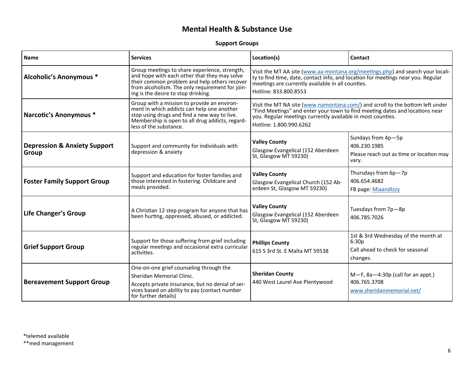### **Mental Health & Substance Use**

#### **Support Groups**

<span id="page-5-0"></span>

| <b>Name</b>                                      | <b>Services</b>                                                                                                                                                                                                                         | Location(s)                                                                                                                                                                                                                                             | Contact                                                                                      |
|--------------------------------------------------|-----------------------------------------------------------------------------------------------------------------------------------------------------------------------------------------------------------------------------------------|---------------------------------------------------------------------------------------------------------------------------------------------------------------------------------------------------------------------------------------------------------|----------------------------------------------------------------------------------------------|
| <b>Alcoholic's Anonymous *</b>                   | Group meetings to share experience, strength,<br>and hope with each other that they may solve<br>their common problem and help others recover<br>from alcoholism. The only requirement for join-<br>ing is the desire to stop drinking. | ty to find time, date, contact info, and location for meetings near you. Regular<br>meetings are currently available in all counties.<br>Hotline: 833.800.8553                                                                                          | Visit the MT AA site (www.aa-montana.org/meetings.php) and search your locali-               |
| Narcotic's Anonymous *                           | Group with a mission to provide an environ-<br>ment in which addicts can help one another<br>stop using drugs and find a new way to live.<br>Membership is open to all drug addicts, regard-<br>less of the substance.                  | Visit the MT NA site (www.namontana.com/) and scroll to the bottom left under<br>'Find Meetings" and enter your town to find meeting dates and locations near<br>you. Regular meetings currently available in most counties.<br>Hotline: 1.800.990.6262 |                                                                                              |
| <b>Depression &amp; Anxiety Support</b><br>Group | Support and community for individuals with<br>depression & anxiety                                                                                                                                                                      | <b>Valley County</b><br>Glasgow Evangelical (152 Aberdeen<br>St, Glasgow MT 59230)                                                                                                                                                                      | Sundays from 4p-5p<br>406.230.1985<br>Please reach out as time or location may<br>vary.      |
| <b>Foster Family Support Group</b>               | Support and education for foster families and<br>those interested in fostering. Childcare and<br>meals provided.                                                                                                                        | <b>Valley County</b><br>Glasgow Evangelical Church (152 Ab-<br>erdeen St, Glasgow MT 59230)                                                                                                                                                             | Thursdays from 6p-7p<br>406.654.4682<br>FB page: Miaandlzzy                                  |
| <b>Life Changer's Group</b>                      | A Christian 12 step program for anyone that has<br>been hurting, oppressed, abused, or addicted.                                                                                                                                        | <b>Valley County</b><br>Glasgow Evangelical (152 Aberdeen<br>St, Glasgow MT 59230)                                                                                                                                                                      | Tuesdays from 7p-8p<br>406.785.7026                                                          |
| <b>Grief Support Group</b>                       | Support for those suffering from grief including<br>regular meetings and occasional extra curricular<br>activities.                                                                                                                     | <b>Phillips County</b><br>615 S 3rd St. E Malta MT 59538                                                                                                                                                                                                | 1st & 3rd Wednesday of the month at<br>6:30p<br>Call ahead to check for seasonal<br>changes. |
| <b>Bereavement Support Group</b>                 | One-on-one grief counseling through the<br>Sheridan Memorial Clinic.<br>Accepts private insurance, but no denial of ser-<br>vices based on ability to pay (contact number<br>for further details)                                       | <b>Sheridan County</b><br>440 West Laurel Ave Plentywood                                                                                                                                                                                                | $M-F$ , 8a-4:30p (call for an appt.)<br>406.765.3708<br>www.sheridanmemorial.net/            |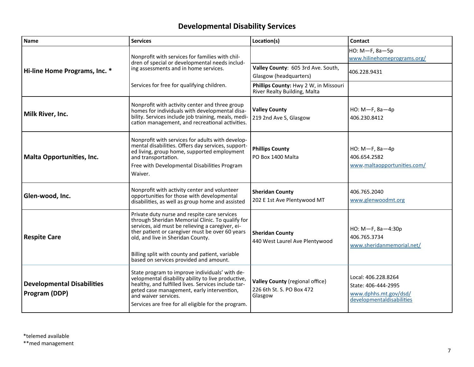## **Developmental Disability Services**

<span id="page-6-0"></span>

| <b>Name</b>                                        | <b>Services</b>                                                                                                                                                                                                                                                                                                                           | Location(s)                                                             | Contact                                                                                          |
|----------------------------------------------------|-------------------------------------------------------------------------------------------------------------------------------------------------------------------------------------------------------------------------------------------------------------------------------------------------------------------------------------------|-------------------------------------------------------------------------|--------------------------------------------------------------------------------------------------|
| Hi-line Home Programs, Inc. *                      | Nonprofit with services for families with chil-<br>dren of special or developmental needs includ-<br>ing assessments and in home services.                                                                                                                                                                                                |                                                                         | НО: М- Г, 8а-5р<br>www.hilinehomeprograms.org/                                                   |
|                                                    |                                                                                                                                                                                                                                                                                                                                           | Valley County: 605 3rd Ave. South,<br>Glasgow (headquarters)            | 406.228.9431                                                                                     |
|                                                    | Services for free for qualifying children.                                                                                                                                                                                                                                                                                                | Phillips County: Hwy 2 W, in Missouri<br>River Realty Building, Malta   |                                                                                                  |
| Milk River, Inc.                                   | Nonprofit with activity center and three group<br>homes for individuals with developmental disa-<br>bility. Services include job training, meals, medi-<br>cation management, and recreational activities.                                                                                                                                | <b>Valley County</b><br>219 2nd Ave S, Glasgow                          | $HO: M-F, 8a-4p$<br>406.230.8412                                                                 |
| Malta Opportunities, Inc.                          | Nonprofit with services for adults with develop-<br>mental disabilities. Offers day services, support-<br>ed living, group home, supported employment<br>and transportation.<br>Free with Developmental Disabilities Program<br>Waiver.                                                                                                   | <b>Phillips County</b><br>PO Box 1400 Malta                             | $HO: M-F, 8a-4p$<br>406.654.2582<br>www.maltaopportunities.com/                                  |
| Glen-wood, Inc.                                    | Nonprofit with activity center and volunteer<br>opportunities for those with developmental<br>disabilities, as well as group home and assisted                                                                                                                                                                                            | <b>Sheridan County</b><br>202 E 1st Ave Plentywood MT                   | 406.765.2040<br>www.glenwoodmt.org                                                               |
| <b>Respite Care</b>                                | Private duty nurse and respite care services<br>through Sheridan Memorial Clinic. To qualify for<br>services, aid must be relieving a caregiver, ei-<br>ther patient or caregiver must be over 60 years<br>old, and live in Sheridan County.<br>Billing split with county and patient, variable<br>based on services provided and amount. | <b>Sheridan County</b><br>440 West Laurel Ave Plentywood                | HO: M-F, 8a-4:30p<br>406.765.3734<br>www.sheridanmemorial.net/                                   |
| <b>Developmental Disabilities</b><br>Program (DDP) | State program to improve individuals' with de-<br>velopmental disability ability to live productive,<br>healthy, and fulfilled lives. Services include tar-<br>geted case management, early intervention,<br>and waiver services.<br>Services are free for all eligible for the program.                                                  | Valley County (regional office)<br>226 6th St. S. PO Box 472<br>Glasgow | Local: 406.228.8264<br>State: 406-444-2995<br>www.dphhs.mt.gov/dsd/<br>developmentaldisabilities |